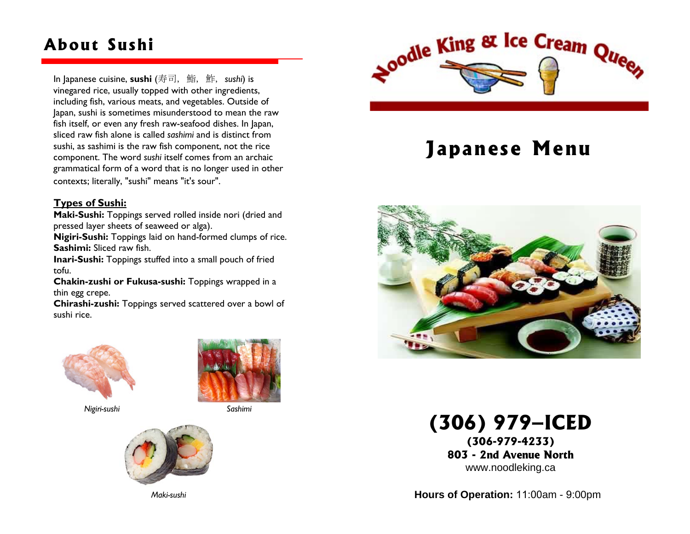### **About Sushi**

In Japanese cuisine, **sushi** (寿司, 鮨, 鮓, *sushi*) is vinegared rice, usually topped with other ingredients, including fish, various meats, and vegetables. Outside of Japan, sushi is sometimes misunderstood to mean the raw fish itself, or even any fresh raw-seafood dishes. In Japan, sliced raw fish alone is called *sashimi* and is distinct from sushi, as sashimi is the raw fish component, not the rice component. The word *sushi* itself comes from an archaic grammatical form of a word that is no longer used in other contexts; literally, "sushi" means "it's sour".

#### **Types of Sushi:**

**Maki-Sushi:** Toppings served rolled inside nori (dried and pressed layer sheets of seaweed or alga).

**Nigiri-Sushi:** Toppings laid on hand-formed clumps of rice. **Sashimi:** Sliced raw fish.

**Inari-Sushi:** Toppings stuffed into a small pouch of fried tofu.

**Chakin-zushi or Fukusa-sushi:** Toppings wrapped in a thin egg crepe.

**Chirashi-zushi:** Toppings served scattered over a bowl of sushi rice.



*Nigiri-sushi* 



*Sashimi* 



*Maki-sushi* 



# **Japanese Menu**



**(306) 979–ICED** 

**(306-979-4233) 803 - 2nd Avenue North** www.noodleking.ca

**Hours of Operation:** 11:00am - 9:00pm